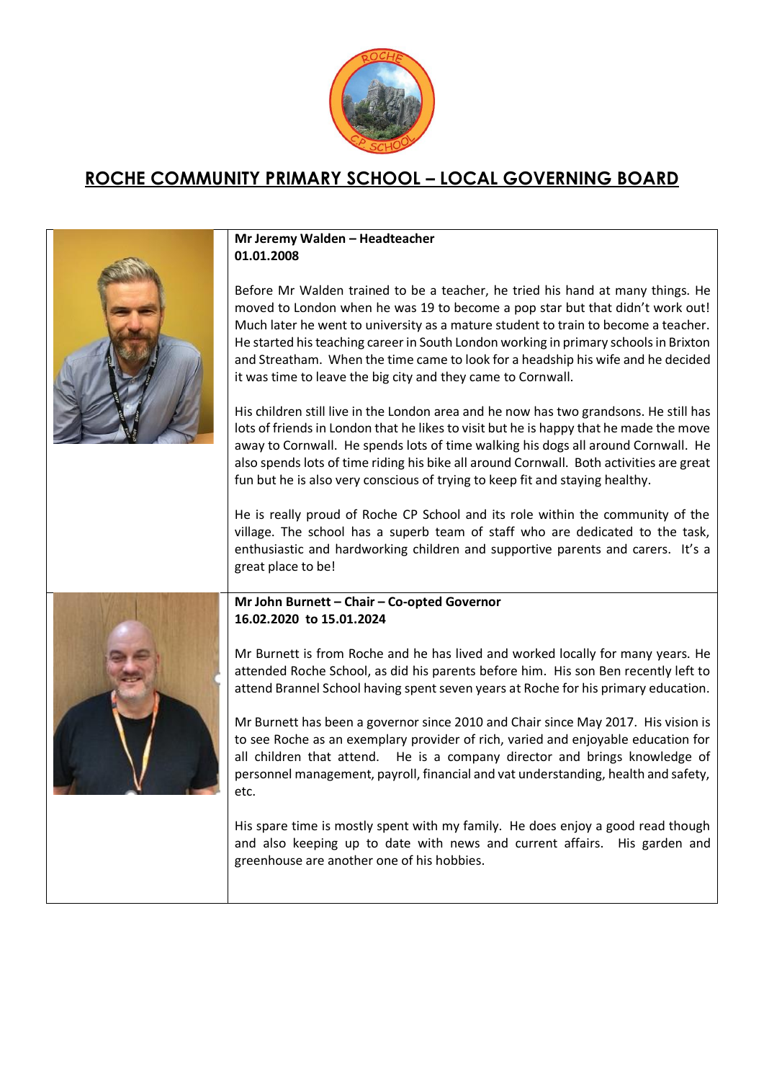

## **ROCHE COMMUNITY PRIMARY SCHOOL – LOCAL GOVERNING BOARD**

| Mr Jeremy Walden - Headteacher<br>01.01.2008                                                                                                                                                                                                                                                                                                                                                                                                                                                                                                                                                                                                                                                                                                                                                                                                                                                                                                                                                                                           |
|----------------------------------------------------------------------------------------------------------------------------------------------------------------------------------------------------------------------------------------------------------------------------------------------------------------------------------------------------------------------------------------------------------------------------------------------------------------------------------------------------------------------------------------------------------------------------------------------------------------------------------------------------------------------------------------------------------------------------------------------------------------------------------------------------------------------------------------------------------------------------------------------------------------------------------------------------------------------------------------------------------------------------------------|
| Before Mr Walden trained to be a teacher, he tried his hand at many things. He<br>moved to London when he was 19 to become a pop star but that didn't work out!<br>Much later he went to university as a mature student to train to become a teacher.<br>He started his teaching career in South London working in primary schools in Brixton<br>and Streatham. When the time came to look for a headship his wife and he decided<br>it was time to leave the big city and they came to Cornwall.<br>His children still live in the London area and he now has two grandsons. He still has<br>lots of friends in London that he likes to visit but he is happy that he made the move<br>away to Cornwall. He spends lots of time walking his dogs all around Cornwall. He<br>also spends lots of time riding his bike all around Cornwall. Both activities are great<br>fun but he is also very conscious of trying to keep fit and staying healthy.<br>He is really proud of Roche CP School and its role within the community of the |
| village. The school has a superb team of staff who are dedicated to the task,<br>enthusiastic and hardworking children and supportive parents and carers. It's a<br>great place to be!                                                                                                                                                                                                                                                                                                                                                                                                                                                                                                                                                                                                                                                                                                                                                                                                                                                 |
| Mr John Burnett - Chair - Co-opted Governor<br>16.02.2020 to 15.01.2024                                                                                                                                                                                                                                                                                                                                                                                                                                                                                                                                                                                                                                                                                                                                                                                                                                                                                                                                                                |
| Mr Burnett is from Roche and he has lived and worked locally for many years. He<br>attended Roche School, as did his parents before him. His son Ben recently left to<br>attend Brannel School having spent seven years at Roche for his primary education.                                                                                                                                                                                                                                                                                                                                                                                                                                                                                                                                                                                                                                                                                                                                                                            |
| Mr Burnett has been a governor since 2010 and Chair since May 2017. His vision is<br>to see Roche as an exemplary provider of rich, varied and enjoyable education for<br>all children that attend. He is a company director and brings knowledge of<br>personnel management, payroll, financial and vat understanding, health and safety,<br>etc.                                                                                                                                                                                                                                                                                                                                                                                                                                                                                                                                                                                                                                                                                     |
| His spare time is mostly spent with my family. He does enjoy a good read though<br>and also keeping up to date with news and current affairs. His garden and<br>greenhouse are another one of his hobbies.                                                                                                                                                                                                                                                                                                                                                                                                                                                                                                                                                                                                                                                                                                                                                                                                                             |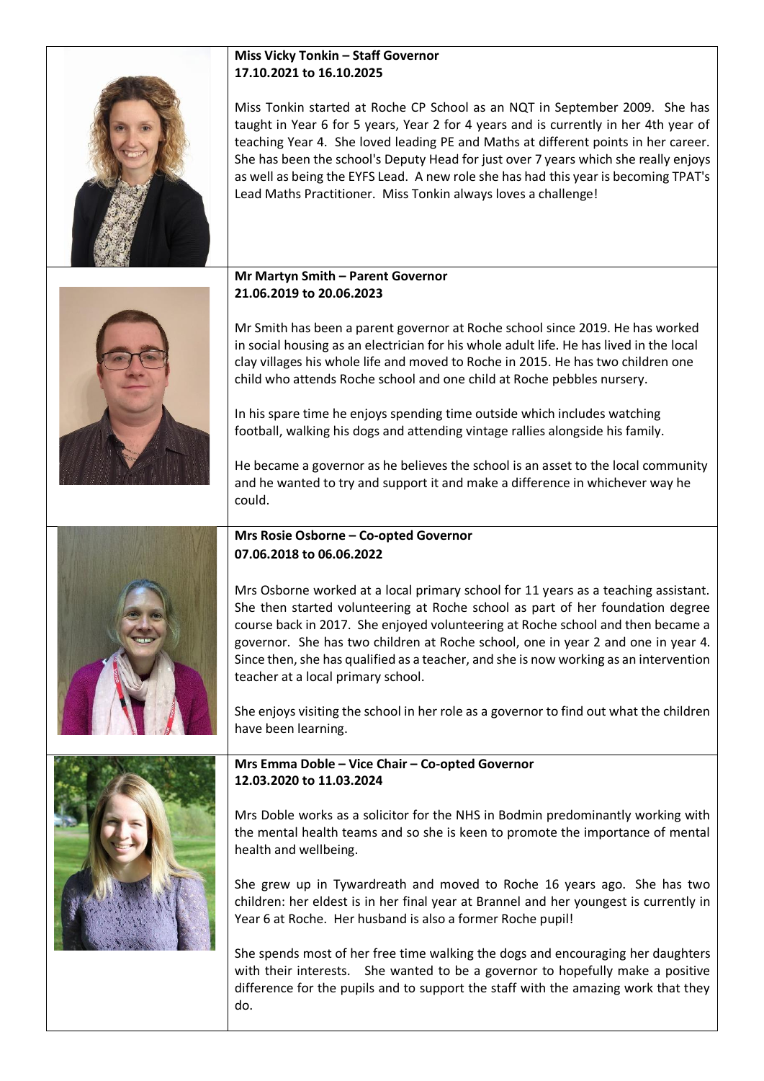|  | <b>Miss Vicky Tonkin - Staff Governor</b><br>17.10.2021 to 16.10.2025                                                                                                                                                                                                                                                                                                                                                                                                                                     |
|--|-----------------------------------------------------------------------------------------------------------------------------------------------------------------------------------------------------------------------------------------------------------------------------------------------------------------------------------------------------------------------------------------------------------------------------------------------------------------------------------------------------------|
|  | Miss Tonkin started at Roche CP School as an NQT in September 2009. She has<br>taught in Year 6 for 5 years, Year 2 for 4 years and is currently in her 4th year of<br>teaching Year 4. She loved leading PE and Maths at different points in her career.<br>She has been the school's Deputy Head for just over 7 years which she really enjoys<br>as well as being the EYFS Lead. A new role she has had this year is becoming TPAT's<br>Lead Maths Practitioner. Miss Tonkin always loves a challenge! |
|  | Mr Martyn Smith - Parent Governor<br>21.06.2019 to 20.06.2023                                                                                                                                                                                                                                                                                                                                                                                                                                             |
|  | Mr Smith has been a parent governor at Roche school since 2019. He has worked<br>in social housing as an electrician for his whole adult life. He has lived in the local<br>clay villages his whole life and moved to Roche in 2015. He has two children one<br>child who attends Roche school and one child at Roche pebbles nursery.<br>In his spare time he enjoys spending time outside which includes watching<br>football, walking his dogs and attending vintage rallies alongside his family.     |
|  | He became a governor as he believes the school is an asset to the local community<br>and he wanted to try and support it and make a difference in whichever way he<br>could.                                                                                                                                                                                                                                                                                                                              |
|  | Mrs Rosie Osborne - Co-opted Governor<br>07.06.2018 to 06.06.2022                                                                                                                                                                                                                                                                                                                                                                                                                                         |
|  | Mrs Osborne worked at a local primary school for 11 years as a teaching assistant.<br>She then started volunteering at Roche school as part of her foundation degree<br>course back in 2017. She enjoyed volunteering at Roche school and then became a<br>governor. She has two children at Roche school, one in year 2 and one in year 4.<br>Since then, she has qualified as a teacher, and she is now working as an intervention<br>teacher at a local primary school.                                |
|  | She enjoys visiting the school in her role as a governor to find out what the children<br>have been learning.                                                                                                                                                                                                                                                                                                                                                                                             |
|  | Mrs Emma Doble - Vice Chair - Co-opted Governor<br>12.03.2020 to 11.03.2024                                                                                                                                                                                                                                                                                                                                                                                                                               |
|  | Mrs Doble works as a solicitor for the NHS in Bodmin predominantly working with<br>the mental health teams and so she is keen to promote the importance of mental<br>health and wellbeing.                                                                                                                                                                                                                                                                                                                |
|  | She grew up in Tywardreath and moved to Roche 16 years ago. She has two<br>children: her eldest is in her final year at Brannel and her youngest is currently in<br>Year 6 at Roche. Her husband is also a former Roche pupil!                                                                                                                                                                                                                                                                            |
|  | She spends most of her free time walking the dogs and encouraging her daughters<br>with their interests. She wanted to be a governor to hopefully make a positive<br>difference for the pupils and to support the staff with the amazing work that they<br>do.                                                                                                                                                                                                                                            |